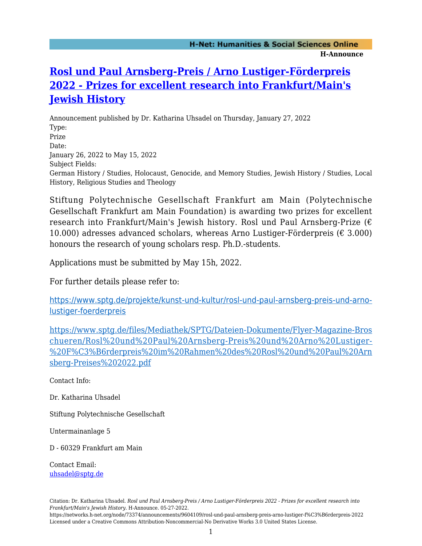## **[Rosl und Paul Arnsberg-Preis / Arno Lustiger-Förderpreis](https://networks.h-net.org/node/73374/announcements/9604109/rosl-und-paul-arnsberg-preis-arno-lustiger-f%C3%B6rderpreis-2022) [2022 - Prizes for excellent research into Frankfurt/Main's](https://networks.h-net.org/node/73374/announcements/9604109/rosl-und-paul-arnsberg-preis-arno-lustiger-f%C3%B6rderpreis-2022) [Jewish History](https://networks.h-net.org/node/73374/announcements/9604109/rosl-und-paul-arnsberg-preis-arno-lustiger-f%C3%B6rderpreis-2022)**

Announcement published by Dr. Katharina Uhsadel on Thursday, January 27, 2022 Type: Prize Date: January 26, 2022 to May 15, 2022 Subject Fields: German History / Studies, Holocaust, Genocide, and Memory Studies, Jewish History / Studies, Local History, Religious Studies and Theology

Stiftung Polytechnische Gesellschaft Frankfurt am Main (Polytechnische Gesellschaft Frankfurt am Main Foundation) is awarding two prizes for excellent research into Frankfurt/Main's Jewish history. Rosl und Paul Arnsberg-Prize (€ 10.000) adresses advanced scholars, whereas Arno Lustiger-Förderpreis ( $\epsilon$  3.000) honours the research of young scholars resp. Ph.D.-students.

Applications must be submitted by May 15h, 2022.

For further details please refer to:

[https://www.sptg.de/projekte/kunst-und-kultur/rosl-und-paul-arnsberg-preis-und-arno](https://www.sptg.de/projekte/kunst-und-kultur/rosl-und-paul-arnsberg-preis-und-arno-lustiger-foerderpreis)[lustiger-foerderpreis](https://www.sptg.de/projekte/kunst-und-kultur/rosl-und-paul-arnsberg-preis-und-arno-lustiger-foerderpreis)

[https://www.sptg.de/files/Mediathek/SPTG/Dateien-Dokumente/Flyer-Magazine-Bros](https://www.sptg.de/files/Mediathek/SPTG/Dateien-Dokumente/Flyer-Magazine-Broschueren/Rosl%20und%20Paul%20Arnsberg-Preis%20und%20Arno%20Lustiger-%20F%C3%B6rderpreis%20im%20Rahmen%20des%20Rosl%20und%20Paul%20Arnsberg-Preises%202022.pdf) [chueren/Rosl%20und%20Paul%20Arnsberg-Preis%20und%20Arno%20Lustiger-](https://www.sptg.de/files/Mediathek/SPTG/Dateien-Dokumente/Flyer-Magazine-Broschueren/Rosl%20und%20Paul%20Arnsberg-Preis%20und%20Arno%20Lustiger-%20F%C3%B6rderpreis%20im%20Rahmen%20des%20Rosl%20und%20Paul%20Arnsberg-Preises%202022.pdf) [%20F%C3%B6rderpreis%20im%20Rahmen%20des%20Rosl%20und%20Paul%20Arn](https://www.sptg.de/files/Mediathek/SPTG/Dateien-Dokumente/Flyer-Magazine-Broschueren/Rosl%20und%20Paul%20Arnsberg-Preis%20und%20Arno%20Lustiger-%20F%C3%B6rderpreis%20im%20Rahmen%20des%20Rosl%20und%20Paul%20Arnsberg-Preises%202022.pdf) [sberg-Preises%202022.pdf](https://www.sptg.de/files/Mediathek/SPTG/Dateien-Dokumente/Flyer-Magazine-Broschueren/Rosl%20und%20Paul%20Arnsberg-Preis%20und%20Arno%20Lustiger-%20F%C3%B6rderpreis%20im%20Rahmen%20des%20Rosl%20und%20Paul%20Arnsberg-Preises%202022.pdf)

Contact Info:

Dr. Katharina Uhsadel

Stiftung Polytechnische Gesellschaft

Untermainanlage 5

D - 60329 Frankfurt am Main

Contact Email: [uhsadel@sptg.de](mailto:uhsadel@sptg.de)

https://networks.h-net.org/node/73374/announcements/9604109/rosl-und-paul-arnsberg-preis-arno-lustiger-f%C3%B6rderpreis-2022 Licensed under a Creative Commons Attribution-Noncommercial-No Derivative Works 3.0 United States License.

Citation: Dr. Katharina Uhsadel. *Rosl und Paul Arnsberg-Preis / Arno Lustiger-Förderpreis 2022 - Prizes for excellent research into Frankfurt/Main's Jewish History*. H-Announce. 05-27-2022.